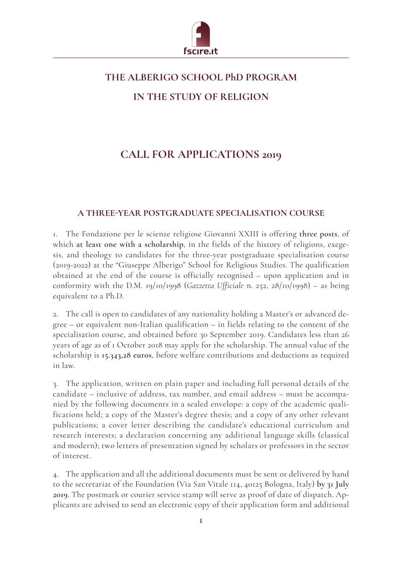

## **THE ALBERIGO SCHOOL PhD PROGRAM IN THE STUDY OF RELIGION**

## **CALL FOR APPLICATIONS 2019**

## **A THREE-YEAR POSTGRADUATE SPECIALISATION COURSE**

1. The Fondazione per le scienze religiose Giovanni XXIII is offering **three posts**, of which **at least one with a scholarship**, in the fields of the history of religions, exegesis, and theology to candidates for the three-year postgraduate specialisation course (2019-2022) at the "Giuseppe Alberigo" School for Religious Studies. The qualification obtained at the end of the course is officially recognised – upon application and in conformity with the D.M. 19/10/1998 (*Gazzetta Ufficiale* n. 252, 28/10/1998) – as being equivalent to a Ph.D.

2. The call is open to candidates of any nationality holding a Master's or advanced degree – or equivalent non-Italian qualification – in fields relating to the content of the specialisation course, and obtained before 30 September 2019. Candidates less than 26 years of age as of 1 October 2018 may apply for the scholarship. The annual value of the scholarship is **15.343,28 euros**, before welfare contributions and deductions as required in law.

3. The application, written on plain paper and including full personal details of the candidate – inclusive of address, tax number, and email address – must be accompanied by the following documents in a sealed envelope: a copy of the academic qualifications held; a copy of the Master's degree thesis; and a copy of any other relevant publications; a cover letter describing the candidate's educational curriculum and research interests; a declaration concerning any additional language skills (classical and modern); two letters of presentation signed by scholars or professors in the sector of interest.

4. The application and all the additional documents must be sent or delivered by hand to the secretariat of the Foundation (Via San Vitale 114, 40125 Bologna, Italy) **by 31 July 2019**. The postmark or courier service stamp will serve as proof of date of dispatch. Applicants are advised to send an electronic copy of their application form and additional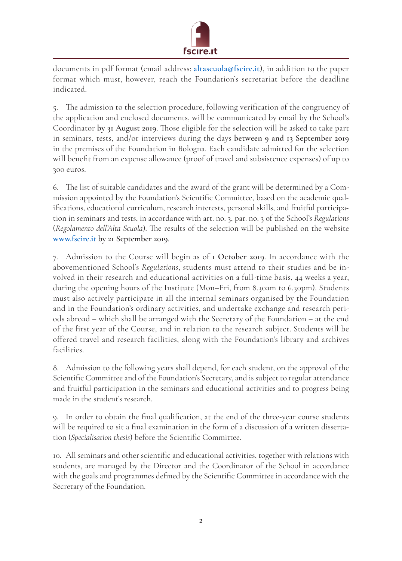

documents in pdf format (email address: **altascuola@fscire.it**), in addition to the paper format which must, however, reach the Foundation's secretariat before the deadline indicated.

5. The admission to the selection procedure, following verification of the congruency of the application and enclosed documents, will be communicated by email by the School's Coordinator **by 31 August 2019**. Those eligible for the selection will be asked to take part in seminars, tests, and/or interviews during the days **between 9 and 13 September 2019** in the premises of the Foundation in Bologna. Each candidate admitted for the selection will benefit from an expense allowance (proof of travel and subsistence expenses) of up to 300 euros.

6. The list of suitable candidates and the award of the grant will be determined by a Commission appointed by the Foundation's Scientific Committee, based on the academic qualifications, educational curriculum, research interests, personal skills, and fruitful participation in seminars and tests, in accordance with art. no. 3, par. no. 3 of the School's *Regulations*  (*Regolamento dell'Alta Scuola*). The results of the selection will be published on the website **www.fscire.it by 21 September 2019**.

7. Admission to the Course will begin as of **1 October 2019**. In accordance with the abovementioned School's *Regulations*, students must attend to their studies and be involved in their research and educational activities on a full-time basis, 44 weeks a year, during the opening hours of the Institute (Mon–Fri, from 8.30am to 6.30pm). Students must also actively participate in all the internal seminars organised by the Foundation and in the Foundation's ordinary activities, and undertake exchange and research periods abroad – which shall be arranged with the Secretary of the Foundation – at the end of the first year of the Course, and in relation to the research subject. Students will be offered travel and research facilities, along with the Foundation's library and archives facilities.

8. Admission to the following years shall depend, for each student, on the approval of the Scientific Committee and of the Foundation's Secretary, and is subject to regular attendance and fruitful participation in the seminars and educational activities and to progress being made in the student's research.

9. In order to obtain the final qualification, at the end of the three-year course students will be required to sit a final examination in the form of a discussion of a written dissertation (*Specialisation thesis*) before the Scientific Committee.

10. All seminars and other scientific and educational activities, together with relations with students, are managed by the Director and the Coordinator of the School in accordance with the goals and programmes defined by the Scientific Committee in accordance with the Secretary of the Foundation.